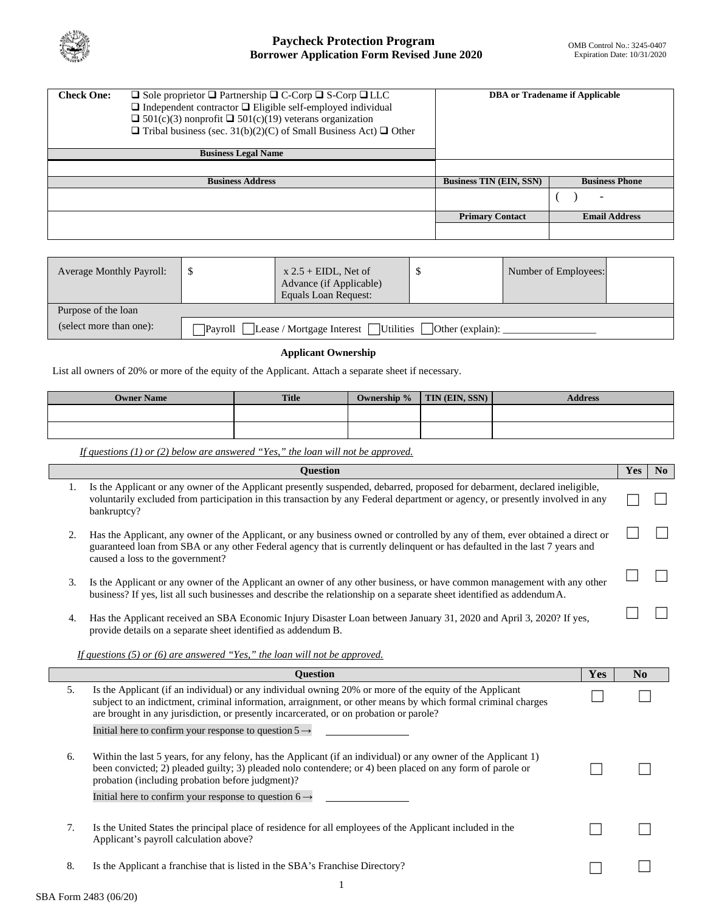

# **Paycheck Protection Program Borrower Application Form Revised June 2020**

| <b>Check One:</b> | $\Box$ Sole proprietor $\Box$ Partnership $\Box$ C-Corp $\Box$ S-Corp $\Box$ LLC<br>$\Box$ Independent contractor $\Box$ Eligible self-employed individual<br>$\Box$ 501(c)(3) nonprofit $\Box$ 501(c)(19) veterans organization | <b>DBA</b> or Tradename if Applicable |                          |  |
|-------------------|----------------------------------------------------------------------------------------------------------------------------------------------------------------------------------------------------------------------------------|---------------------------------------|--------------------------|--|
|                   | $\Box$ Tribal business (sec. 31(b)(2)(C) of Small Business Act) $\Box$ Other<br><b>Business Legal Name</b>                                                                                                                       |                                       |                          |  |
|                   |                                                                                                                                                                                                                                  |                                       |                          |  |
|                   | <b>Business Address</b>                                                                                                                                                                                                          | <b>Business TIN (EIN, SSN)</b>        | <b>Business Phone</b>    |  |
|                   |                                                                                                                                                                                                                                  |                                       | $\overline{\phantom{0}}$ |  |
|                   |                                                                                                                                                                                                                                  | <b>Primary Contact</b>                | <b>Email Address</b>     |  |
|                   |                                                                                                                                                                                                                                  |                                       |                          |  |

| <b>Average Monthly Payroll:</b> |                                                                              | $x 2.5 + EIDL$ , Net of<br>Advance (if Applicable)<br>Equals Loan Request: |  | Number of Employees: |  |
|---------------------------------|------------------------------------------------------------------------------|----------------------------------------------------------------------------|--|----------------------|--|
| Purpose of the loan             |                                                                              |                                                                            |  |                      |  |
| (select more than one):         | Lease / Mortgage Interest   Utilities   Other (explain):<br><b>Pavroll</b> I |                                                                            |  |                      |  |

## **Applicant Ownership**

List all owners of 20% or more of the equity of the Applicant. Attach a separate sheet if necessary.

| <b>Owner Name</b> | <b>Title</b> | Ownership % | TIN (EIN, SSN) | <b>Address</b> |
|-------------------|--------------|-------------|----------------|----------------|
|                   |              |             |                |                |
|                   |              |             |                |                |

*If questions (1) or (2) below are answered "Yes," the loan will not be approved.*

|    | Question                                                                                                                                                                                                                                                                                                          |     | Yes | No |
|----|-------------------------------------------------------------------------------------------------------------------------------------------------------------------------------------------------------------------------------------------------------------------------------------------------------------------|-----|-----|----|
| 1. | Is the Applicant or any owner of the Applicant presently suspended, debarred, proposed for debarment, declared ineligible,<br>voluntarily excluded from participation in this transaction by any Federal department or agency, or presently involved in any<br>bankruptcy?                                        |     |     |    |
| 2. | Has the Applicant, any owner of the Applicant, or any business owned or controlled by any of them, ever obtained a direct or<br>guaranteed loan from SBA or any other Federal agency that is currently delinquent or has defaulted in the last 7 years and<br>caused a loss to the government?                    |     |     |    |
| 3. | Is the Applicant or any owner of the Applicant an owner of any other business, or have common management with any other<br>business? If yes, list all such businesses and describe the relationship on a separate sheet identified as addendum A.                                                                 |     |     |    |
| 4. | Has the Applicant received an SBA Economic Injury Disaster Loan between January 31, 2020 and April 3, 2020? If yes,<br>provide details on a separate sheet identified as addendum B.                                                                                                                              |     |     |    |
|    | If questions (5) or (6) are answered "Yes," the loan will not be approved.                                                                                                                                                                                                                                        |     |     |    |
|    |                                                                                                                                                                                                                                                                                                                   |     |     |    |
|    | <b>Question</b>                                                                                                                                                                                                                                                                                                   | Yes | No  |    |
| 5. | Is the Applicant (if an individual) or any individual owning 20% or more of the equity of the Applicant<br>subject to an indictment, criminal information, arraignment, or other means by which formal criminal charges<br>are brought in any jurisdiction, or presently incarcerated, or on probation or parole? |     |     |    |
|    | Initial here to confirm your response to question $5 \rightarrow$                                                                                                                                                                                                                                                 |     |     |    |
| 6. | Within the last 5 years, for any felony, has the Applicant (if an individual) or any owner of the Applicant 1)<br>been convicted; 2) pleaded guilty; 3) pleaded nolo contendere; or 4) been placed on any form of parole or<br>probation (including probation before judgment)?                                   |     |     |    |
|    | Initial here to confirm your response to question $6 \rightarrow$                                                                                                                                                                                                                                                 |     |     |    |
| 7. |                                                                                                                                                                                                                                                                                                                   |     |     |    |
|    | Is the United States the principal place of residence for all employees of the Applicant included in the<br>Applicant's payroll calculation above?                                                                                                                                                                |     |     |    |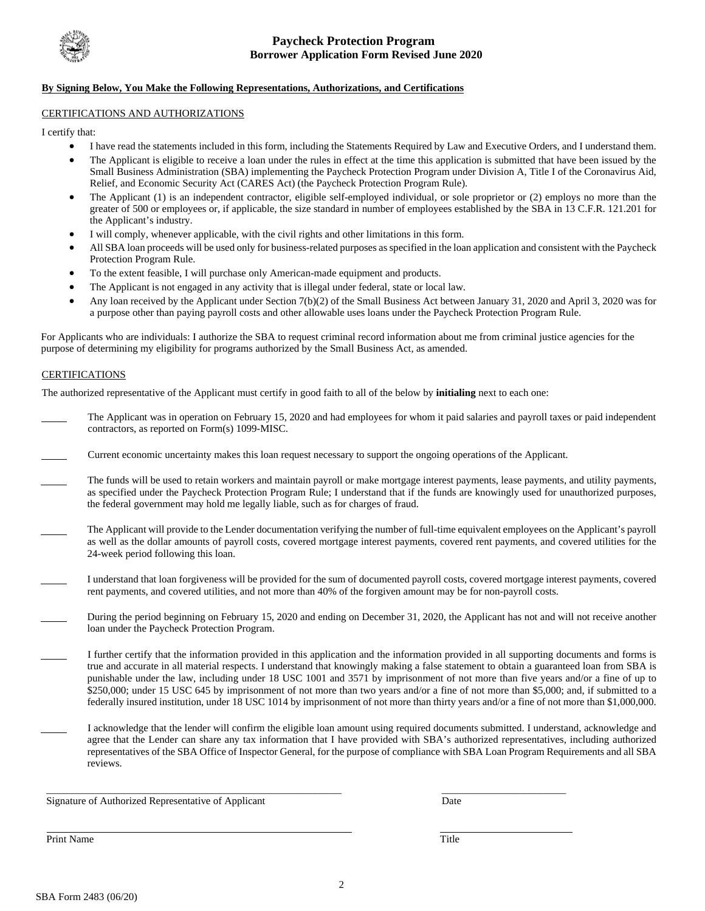

### **By Signing Below, You Make the Following Representations, Authorizations, and Certifications**

### CERTIFICATIONS AND AUTHORIZATIONS

I certify that:

- I have read the statements included in this form, including the Statements Required by Law and Executive Orders, and I understand them.
- The Applicant is eligible to receive a loan under the rules in effect at the time this application is submitted that have been issued by the Small Business Administration (SBA) implementing the Paycheck Protection Program under Division A, Title I of the Coronavirus Aid, Relief, and Economic Security Act (CARES Act) (the Paycheck Protection Program Rule).
- The Applicant (1) is an independent contractor, eligible self-employed individual, or sole proprietor or (2) employs no more than the greater of 500 or employees or, if applicable, the size standard in number of employees established by the SBA in 13 C.F.R. 121.201 for the Applicant's industry.
- I will comply, whenever applicable, with the civil rights and other limitations in this form.
- All SBA loan proceeds will be used only for business-related purposes as specified in the loan application and consistent with the Paycheck Protection Program Rule.
- To the extent feasible, I will purchase only American-made equipment and products.
- The Applicant is not engaged in any activity that is illegal under federal, state or local law.
- Any loan received by the Applicant under Section 7(b)(2) of the Small Business Act between January 31, 2020 and April 3, 2020 was for a purpose other than paying payroll costs and other allowable uses loans under the Paycheck Protection Program Rule.

For Applicants who are individuals: I authorize the SBA to request criminal record information about me from criminal justice agencies for the purpose of determining my eligibility for programs authorized by the Small Business Act, as amended.

### **CERTIFICATIONS**

The authorized representative of the Applicant must certify in good faith to all of the below by **initialing** next to each one:

- The Applicant was in operation on February 15, 2020 and had employees for whom it paid salaries and payroll taxes or paid independent contractors, as reported on Form(s) 1099-MISC.
- Current economic uncertainty makes this loan request necessary to support the ongoing operations of the Applicant.
- The funds will be used to retain workers and maintain payroll or make mortgage interest payments, lease payments, and utility payments, as specified under the Paycheck Protection Program Rule; I understand that if the funds are knowingly used for unauthorized purposes, the federal government may hold me legally liable, such as for charges of fraud.
- The Applicant will provide to the Lender documentation verifying the number of full-time equivalent employees on the Applicant's payroll as well as the dollar amounts of payroll costs, covered mortgage interest payments, covered rent payments, and covered utilities for the 24-week period following this loan.
- I understand that loan forgiveness will be provided for the sum of documented payroll costs, covered mortgage interest payments, covered rent payments, and covered utilities, and not more than 40% of the forgiven amount may be for non-payroll costs.
- During the period beginning on February 15, 2020 and ending on December 31, 2020, the Applicant has not and will not receive another loan under the Paycheck Protection Program.
- I further certify that the information provided in this application and the information provided in all supporting documents and forms is true and accurate in all material respects. I understand that knowingly making a false statement to obtain a guaranteed loan from SBA is punishable under the law, including under 18 USC 1001 and 3571 by imprisonment of not more than five years and/or a fine of up to \$250,000; under 15 USC 645 by imprisonment of not more than two years and/or a fine of not more than \$5,000; and, if submitted to a federally insured institution, under 18 USC 1014 by imprisonment of not more than thirty years and/or a fine of not more than \$1,000,000.
- I acknowledge that the lender will confirm the eligible loan amount using required documents submitted. I understand, acknowledge and agree that the Lender can share any tax information that I have provided with SBA's authorized representatives, including authorized representatives of the SBA Office of Inspector General, for the purpose of compliance with SBA Loan Program Requirements and all SBA reviews.

Signature of Authorized Representative of Applicant Date

\_\_\_\_\_\_\_\_\_\_\_\_\_\_\_\_\_\_\_\_\_\_\_\_\_\_\_\_\_\_\_\_\_\_\_\_\_\_\_\_\_\_\_\_\_\_\_\_\_\_\_\_\_\_\_\_\_ \_\_\_\_\_\_\_\_\_\_\_\_\_\_\_\_\_\_\_\_\_\_\_\_

Print Name Title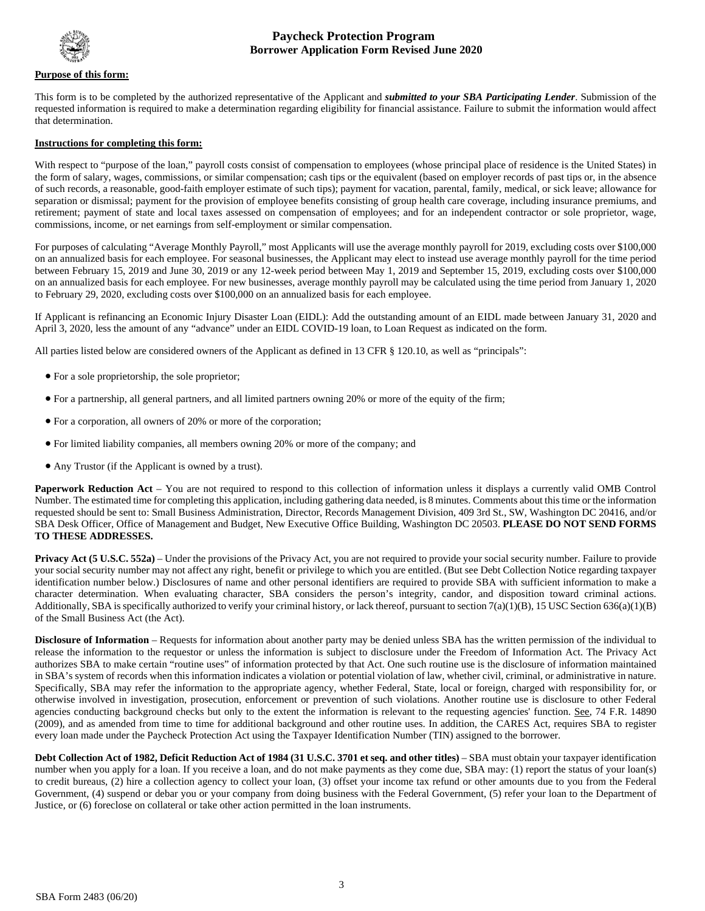

## **Paycheck Protection Program Borrower Application Form Revised June 2020**

#### **Purpose of this form:**

This form is to be completed by the authorized representative of the Applicant and *submitted to your SBA Participating Lender*. Submission of the requested information is required to make a determination regarding eligibility for financial assistance. Failure to submit the information would affect that determination.

#### **Instructions for completing this form:**

With respect to "purpose of the loan," payroll costs consist of compensation to employees (whose principal place of residence is the United States) in the form of salary, wages, commissions, or similar compensation; cash tips or the equivalent (based on employer records of past tips or, in the absence of such records, a reasonable, good-faith employer estimate of such tips); payment for vacation, parental, family, medical, or sick leave; allowance for separation or dismissal; payment for the provision of employee benefits consisting of group health care coverage, including insurance premiums, and retirement; payment of state and local taxes assessed on compensation of employees; and for an independent contractor or sole proprietor, wage, commissions, income, or net earnings from self-employment or similar compensation.

For purposes of calculating "Average Monthly Payroll," most Applicants will use the average monthly payroll for 2019, excluding costs over \$100,000 on an annualized basis for each employee. For seasonal businesses, the Applicant may elect to instead use average monthly payroll for the time period between February 15, 2019 and June 30, 2019 or any 12-week period between May 1, 2019 and September 15, 2019, excluding costs over \$100,000 on an annualized basis for each employee. For new businesses, average monthly payroll may be calculated using the time period from January 1, 2020 to February 29, 2020, excluding costs over \$100,000 on an annualized basis for each employee.

If Applicant is refinancing an Economic Injury Disaster Loan (EIDL): Add the outstanding amount of an EIDL made between January 31, 2020 and April 3, 2020, less the amount of any "advance" under an EIDL COVID-19 loan, to Loan Request as indicated on the form.

All parties listed below are considered owners of the Applicant as defined in 13 CFR § 120.10, as well as "principals":

- For a sole proprietorship, the sole proprietor;
- For a partnership, all general partners, and all limited partners owning 20% or more of the equity of the firm;
- For a corporation, all owners of 20% or more of the corporation;
- For limited liability companies, all members owning 20% or more of the company; and
- Any Trustor (if the Applicant is owned by a trust).

**Paperwork Reduction Act** – You are not required to respond to this collection of information unless it displays a currently valid OMB Control Number. The estimated time for completing this application, including gathering data needed, is 8 minutes. Comments about this time or the information requested should be sent to: Small Business Administration, Director, Records Management Division, 409 3rd St., SW, Washington DC 20416, and/or SBA Desk Officer, Office of Management and Budget, New Executive Office Building, Washington DC 20503. **PLEASE DO NOT SEND FORMS TO THESE ADDRESSES.**

**Privacy Act (5 U.S.C. 552a)** – Under the provisions of the Privacy Act, you are not required to provide your social security number. Failure to provide your social security number may not affect any right, benefit or privilege to which you are entitled. (But see Debt Collection Notice regarding taxpayer identification number below.) Disclosures of name and other personal identifiers are required to provide SBA with sufficient information to make a character determination. When evaluating character, SBA considers the person's integrity, candor, and disposition toward criminal actions. Additionally, SBA is specifically authorized to verify your criminal history, or lack thereof, pursuant to section 7(a)(1)(B), 15 USC Section 636(a)(1)(B) of the Small Business Act (the Act).

**Disclosure of Information** – Requests for information about another party may be denied unless SBA has the written permission of the individual to release the information to the requestor or unless the information is subject to disclosure under the Freedom of Information Act. The Privacy Act authorizes SBA to make certain "routine uses" of information protected by that Act. One such routine use is the disclosure of information maintained in SBA's system of records when this information indicates a violation or potential violation of law, whether civil, criminal, or administrative in nature. Specifically, SBA may refer the information to the appropriate agency, whether Federal, State, local or foreign, charged with responsibility for, or otherwise involved in investigation, prosecution, enforcement or prevention of such violations. Another routine use is disclosure to other Federal agencies conducting background checks but only to the extent the information is relevant to the requesting agencies' function. See, 74 F.R. 14890 (2009), and as amended from time to time for additional background and other routine uses. In addition, the CARES Act, requires SBA to register every loan made under the Paycheck Protection Act using the Taxpayer Identification Number (TIN) assigned to the borrower.

**Debt Collection Act of 1982, Deficit Reduction Act of 1984 (31 U.S.C. 3701 et seq. and other titles)** – SBA must obtain your taxpayer identification number when you apply for a loan. If you receive a loan, and do not make payments as they come due, SBA may: (1) report the status of your loan(s) to credit bureaus, (2) hire a collection agency to collect your loan, (3) offset your income tax refund or other amounts due to you from the Federal Government, (4) suspend or debar you or your company from doing business with the Federal Government, (5) refer your loan to the Department of Justice, or (6) foreclose on collateral or take other action permitted in the loan instruments.